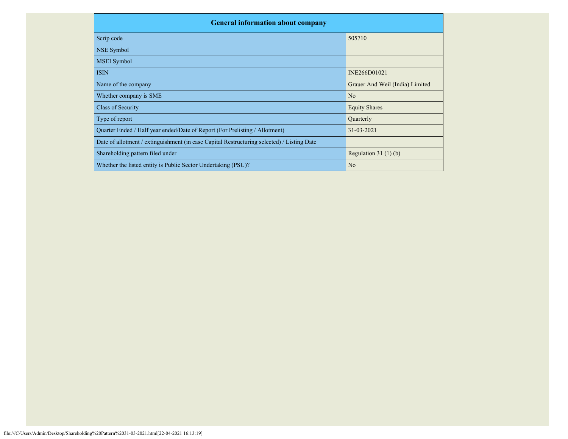| <b>General information about company</b>                                                   |                                 |  |  |  |  |  |  |  |
|--------------------------------------------------------------------------------------------|---------------------------------|--|--|--|--|--|--|--|
| Scrip code                                                                                 | 505710                          |  |  |  |  |  |  |  |
| NSE Symbol                                                                                 |                                 |  |  |  |  |  |  |  |
| <b>MSEI</b> Symbol                                                                         |                                 |  |  |  |  |  |  |  |
| <b>ISIN</b>                                                                                | INE266D01021                    |  |  |  |  |  |  |  |
| Name of the company                                                                        | Grauer And Weil (India) Limited |  |  |  |  |  |  |  |
| Whether company is SME                                                                     | N <sub>o</sub>                  |  |  |  |  |  |  |  |
| Class of Security                                                                          | <b>Equity Shares</b>            |  |  |  |  |  |  |  |
| Type of report                                                                             | Quarterly                       |  |  |  |  |  |  |  |
| Quarter Ended / Half year ended/Date of Report (For Prelisting / Allotment)                | 31-03-2021                      |  |  |  |  |  |  |  |
| Date of allotment / extinguishment (in case Capital Restructuring selected) / Listing Date |                                 |  |  |  |  |  |  |  |
| Shareholding pattern filed under                                                           | Regulation $31(1)(b)$           |  |  |  |  |  |  |  |
| Whether the listed entity is Public Sector Undertaking (PSU)?                              | N <sub>o</sub>                  |  |  |  |  |  |  |  |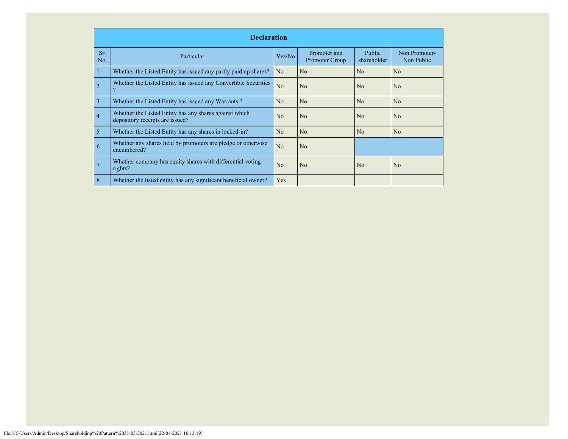|                | <b>Declaration</b>                                                                        |                |                                |                              |                             |  |  |  |  |  |
|----------------|-------------------------------------------------------------------------------------------|----------------|--------------------------------|------------------------------|-----------------------------|--|--|--|--|--|
| Sr.<br>No.     | Particular                                                                                | Yes/No         | Promoter and<br>Promoter Group | <b>Public</b><br>shareholder | Non Promoter-<br>Non Public |  |  |  |  |  |
|                | Whether the Listed Entity has issued any partly paid up shares?                           | N <sub>o</sub> | No                             | No                           | N <sub>0</sub>              |  |  |  |  |  |
| $\overline{2}$ | Whether the Listed Entity has issued any Convertible Securities                           | No             | No                             | No                           | N <sub>o</sub>              |  |  |  |  |  |
| 3              | Whether the Listed Entity has issued any Warrants?                                        | No             | No                             | No                           | No                          |  |  |  |  |  |
| $\overline{4}$ | Whether the Listed Entity has any shares against which<br>depository receipts are issued? | N <sub>0</sub> | No                             | N <sub>o</sub>               | N <sub>0</sub>              |  |  |  |  |  |
| 5              | Whether the Listed Entity has any shares in locked-in?                                    | No             | No                             | No                           | N <sub>o</sub>              |  |  |  |  |  |
| 6              | Whether any shares held by promoters are pledge or otherwise<br>encumbered?               | N <sub>o</sub> | No                             |                              |                             |  |  |  |  |  |
| 7              | Whether company has equity shares with differential voting<br>rights?                     | N <sub>0</sub> | N <sub>o</sub>                 | N <sub>0</sub>               | N <sub>0</sub>              |  |  |  |  |  |
| 8              | Whether the listed entity has any significant beneficial owner?                           | Yes            |                                |                              |                             |  |  |  |  |  |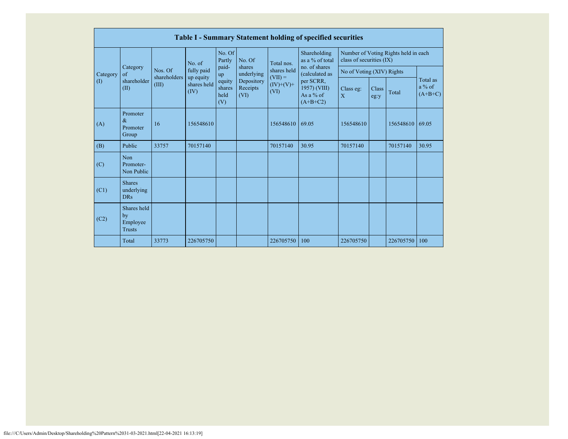|                         |                                                |                                  |                         |                                                |                                                        |                                                 | <b>Table I - Summary Statement holding of specified securities</b>     |                           |               |                                      |                                   |
|-------------------------|------------------------------------------------|----------------------------------|-------------------------|------------------------------------------------|--------------------------------------------------------|-------------------------------------------------|------------------------------------------------------------------------|---------------------------|---------------|--------------------------------------|-----------------------------------|
|                         | Category<br>$\alpha$ f<br>shareholder<br>(II)  |                                  | No. of                  | No. Of<br>Partly                               | No. Of                                                 | Total nos.                                      | Shareholding<br>as a % of total<br>no. of shares                       | class of securities (IX)  |               | Number of Voting Rights held in each |                                   |
| Category<br>$($ $($ $)$ |                                                | Nos. Of<br>shareholders<br>(III) | fully paid<br>up equity | paid-<br>up<br>equity<br>shares<br>held<br>(V) | shares<br>underlying<br>Depository<br>Receipts<br>(VI) | shares held<br>$(VII) =$<br>$(IV)+(V)+$<br>(VI) | (calculated as<br>per SCRR,<br>1957) (VIII)<br>As a % of<br>$(A+B+C2)$ | No of Voting (XIV) Rights |               |                                      |                                   |
|                         |                                                |                                  | shares held<br>(IV)     |                                                |                                                        |                                                 |                                                                        | Class eg:<br>X            | Class<br>eg:y | Total                                | Total as<br>$a\%$ of<br>$(A+B+C)$ |
| (A)                     | Promoter<br>$\&$<br>Promoter<br>Group          | 16                               | 156548610               |                                                |                                                        | 156548610                                       | 69.05                                                                  | 156548610                 |               | 156548610                            | 69.05                             |
| (B)                     | Public                                         | 33757                            | 70157140                |                                                |                                                        | 70157140                                        | 30.95                                                                  | 70157140                  |               | 70157140                             | 30.95                             |
| (C)                     | <b>Non</b><br>Promoter-<br>Non Public          |                                  |                         |                                                |                                                        |                                                 |                                                                        |                           |               |                                      |                                   |
| (C1)                    | <b>Shares</b><br>underlying<br><b>DRs</b>      |                                  |                         |                                                |                                                        |                                                 |                                                                        |                           |               |                                      |                                   |
| (C2)                    | Shares held<br>by<br>Employee<br><b>Trusts</b> |                                  |                         |                                                |                                                        |                                                 |                                                                        |                           |               |                                      |                                   |
|                         | Total                                          | 33773                            | 226705750               |                                                |                                                        | 226705750                                       | 100                                                                    | 226705750                 |               | 226705750                            | 100                               |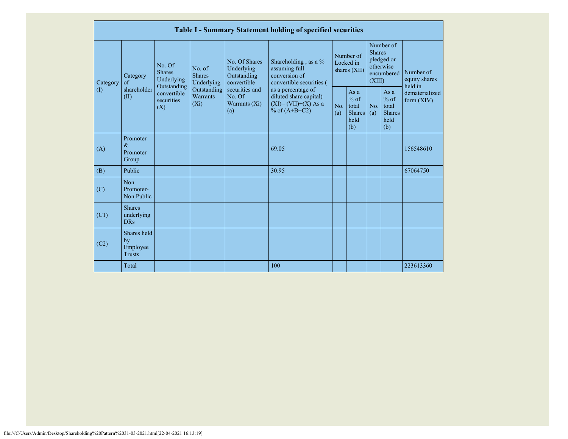|                            | Table I - Summary Statement holding of specified securities                                                                                 |                                       |                                                                                            |                                                           |                                                                                    |                                                                                                                           |                                                         |                                |  |                                       |
|----------------------------|---------------------------------------------------------------------------------------------------------------------------------------------|---------------------------------------|--------------------------------------------------------------------------------------------|-----------------------------------------------------------|------------------------------------------------------------------------------------|---------------------------------------------------------------------------------------------------------------------------|---------------------------------------------------------|--------------------------------|--|---------------------------------------|
| Category                   | Category<br>$\alpha$ f                                                                                                                      | No. Of<br><b>Shares</b><br>Underlying |                                                                                            | No. Of Shares<br>Underlying<br>Outstanding<br>convertible | Shareholding, as a %<br>assuming full<br>conversion of<br>convertible securities ( | Number of<br><b>Shares</b><br>Number of<br>pledged or<br>Locked in<br>otherwise<br>shares $(XII)$<br>encumbered<br>(XIII) |                                                         |                                |  | Number of<br>equity shares<br>held in |
| $\left( \mathrm{I}\right)$ | Underlying<br>Outstanding<br>shareholder<br>Outstanding<br>convertible<br>Warrants<br>No. Of<br>(II)<br>securities<br>$(X_i)$<br>(X)<br>(a) | securities and<br>Warrants (Xi)       | as a percentage of<br>diluted share capital)<br>$(XI) = (VII)+(X) As a$<br>% of $(A+B+C2)$ | No.<br>(a)                                                | As $a$<br>$%$ of<br>total<br><b>Shares</b><br>held<br>(b)                          | No.<br>(a)                                                                                                                | As a<br>$%$ of<br>total<br><b>Shares</b><br>held<br>(b) | dematerialized<br>form $(XIV)$ |  |                                       |
| (A)                        | Promoter<br>$\&$<br>Promoter<br>Group                                                                                                       |                                       |                                                                                            |                                                           | 69.05                                                                              |                                                                                                                           |                                                         |                                |  | 156548610                             |
| (B)                        | Public                                                                                                                                      |                                       |                                                                                            |                                                           | 30.95                                                                              |                                                                                                                           |                                                         |                                |  | 67064750                              |
| (C)                        | <b>Non</b><br>Promoter-<br>Non Public                                                                                                       |                                       |                                                                                            |                                                           |                                                                                    |                                                                                                                           |                                                         |                                |  |                                       |
| (C1)                       | <b>Shares</b><br>underlying<br><b>DRs</b>                                                                                                   |                                       |                                                                                            |                                                           |                                                                                    |                                                                                                                           |                                                         |                                |  |                                       |
| (C2)                       | Shares held<br>by<br>Employee<br><b>Trusts</b>                                                                                              |                                       |                                                                                            |                                                           |                                                                                    |                                                                                                                           |                                                         |                                |  |                                       |
|                            | Total                                                                                                                                       |                                       |                                                                                            |                                                           | 100                                                                                |                                                                                                                           |                                                         |                                |  | 223613360                             |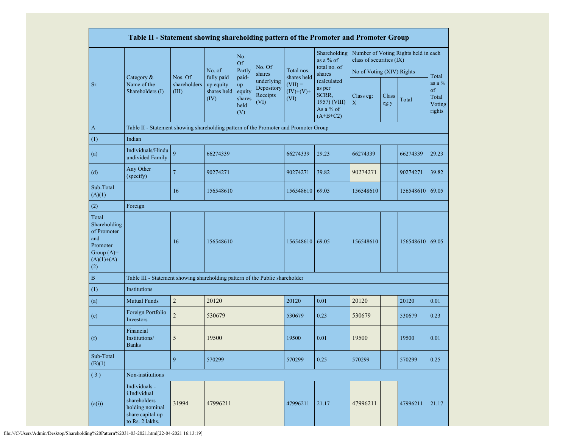|                                                                                                | Table II - Statement showing shareholding pattern of the Promoter and Promoter Group                    |                                  |                                                |                                                |                                              |                                  |                                                                           |                           |               |                                      |                                                      |
|------------------------------------------------------------------------------------------------|---------------------------------------------------------------------------------------------------------|----------------------------------|------------------------------------------------|------------------------------------------------|----------------------------------------------|----------------------------------|---------------------------------------------------------------------------|---------------------------|---------------|--------------------------------------|------------------------------------------------------|
|                                                                                                |                                                                                                         |                                  |                                                | No.<br><b>Of</b>                               |                                              |                                  | Shareholding<br>as a % of                                                 | class of securities (IX)  |               | Number of Voting Rights held in each |                                                      |
|                                                                                                |                                                                                                         |                                  | No. of                                         | Partly                                         | No. Of<br>shares                             | Total nos.<br>shares held        | total no. of<br>shares                                                    | No of Voting (XIV) Rights |               |                                      |                                                      |
| Sr.                                                                                            | Category &<br>Name of the<br>Shareholders (I)                                                           | Nos. Of<br>shareholders<br>(III) | fully paid<br>up equity<br>shares held<br>(IV) | paid-<br>up<br>equity<br>shares<br>held<br>(V) | underlying<br>Depository<br>Receipts<br>(VI) | $(VII) =$<br>$(IV)+(V)+$<br>(VI) | (calculated<br>as per<br>SCRR,<br>1957) (VIII)<br>As a % of<br>$(A+B+C2)$ | Class eg:<br>$\mathbf X$  | Class<br>eg:y | Total                                | Total<br>as a $%$<br>of<br>Total<br>Voting<br>rights |
| $\mathbf{A}$                                                                                   | Table II - Statement showing shareholding pattern of the Promoter and Promoter Group                    |                                  |                                                |                                                |                                              |                                  |                                                                           |                           |               |                                      |                                                      |
| (1)                                                                                            | Indian                                                                                                  |                                  |                                                |                                                |                                              |                                  |                                                                           |                           |               |                                      |                                                      |
| (a)                                                                                            | Individuals/Hindu<br>undivided Family                                                                   | $\overline{Q}$                   | 66274339                                       |                                                |                                              | 66274339                         | 29.23                                                                     | 66274339                  |               | 66274339                             | 29.23                                                |
| (d)                                                                                            | Any Other<br>(specify)                                                                                  | $\overline{7}$                   | 90274271                                       |                                                |                                              | 90274271                         | 39.82                                                                     | 90274271                  |               | 90274271                             | 39.82                                                |
| Sub-Total<br>(A)(1)                                                                            |                                                                                                         | 16                               | 156548610                                      |                                                |                                              | 156548610                        | 69.05                                                                     | 156548610                 |               | 156548610                            | 69.05                                                |
| (2)                                                                                            | Foreign                                                                                                 |                                  |                                                |                                                |                                              |                                  |                                                                           |                           |               |                                      |                                                      |
| Total<br>Shareholding<br>of Promoter<br>and<br>Promoter<br>Group $(A)=$<br>$(A)(1)+(A)$<br>(2) |                                                                                                         | 16                               | 156548610                                      |                                                |                                              | 156548610                        | 69.05                                                                     | 156548610                 |               | 156548610 69.05                      |                                                      |
| $\, {\bf B}$                                                                                   | Table III - Statement showing shareholding pattern of the Public shareholder                            |                                  |                                                |                                                |                                              |                                  |                                                                           |                           |               |                                      |                                                      |
| (1)                                                                                            | Institutions                                                                                            |                                  |                                                |                                                |                                              |                                  |                                                                           |                           |               |                                      |                                                      |
| (a)                                                                                            | <b>Mutual Funds</b>                                                                                     | $\sqrt{2}$                       | 20120                                          |                                                |                                              | 20120                            | 0.01                                                                      | 20120                     |               | 20120                                | 0.01                                                 |
| (e)                                                                                            | Foreign Portfolio<br>Investors                                                                          | $\overline{c}$                   | 530679                                         |                                                |                                              | 530679                           | 0.23                                                                      | 530679                    |               | 530679                               | 0.23                                                 |
| (f)                                                                                            | Financial<br>Institutions/<br><b>Banks</b>                                                              | 5                                | 19500                                          |                                                |                                              | 19500                            | 0.01                                                                      | 19500                     |               | 19500                                | 0.01                                                 |
| Sub-Total<br>(B)(1)                                                                            |                                                                                                         | 9                                | 570299                                         |                                                |                                              | 570299                           | 0.25                                                                      | 570299                    |               | 570299                               | 0.25                                                 |
| (3)                                                                                            | Non-institutions                                                                                        |                                  |                                                |                                                |                                              |                                  |                                                                           |                           |               |                                      |                                                      |
| (a(i))                                                                                         | Individuals -<br>i.Individual<br>shareholders<br>holding nominal<br>share capital up<br>to Rs. 2 lakhs. | 31994                            | 47996211                                       |                                                |                                              | 47996211                         | 21.17                                                                     | 47996211                  |               | 47996211                             | 21.17                                                |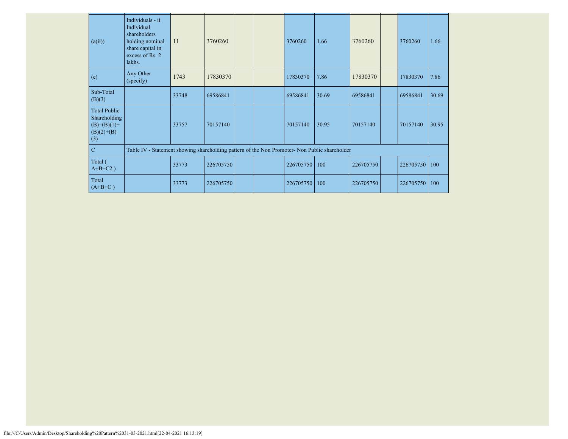| (a(ii))                                                                       | Individuals - ii.<br>Individual<br>shareholders<br>holding nominal<br>share capital in<br>excess of Rs. 2<br>lakhs. | 11    | 3760260   |  | 3760260   | 1.66  | 3760260   | 3760260   | 1.66  |
|-------------------------------------------------------------------------------|---------------------------------------------------------------------------------------------------------------------|-------|-----------|--|-----------|-------|-----------|-----------|-------|
| (e)                                                                           | Any Other<br>(specify)                                                                                              | 1743  | 17830370  |  | 17830370  | 7.86  | 17830370  | 17830370  | 7.86  |
| Sub-Total<br>(B)(3)                                                           |                                                                                                                     | 33748 | 69586841  |  | 69586841  | 30.69 | 69586841  | 69586841  | 30.69 |
| <b>Total Public</b><br>Shareholding<br>$(B)= (B)(1) +$<br>$(B)(2)+(B)$<br>(3) |                                                                                                                     | 33757 | 70157140  |  | 70157140  | 30.95 | 70157140  | 70157140  | 30.95 |
| $\mathbf C$                                                                   | Table IV - Statement showing shareholding pattern of the Non Promoter- Non Public shareholder                       |       |           |  |           |       |           |           |       |
| Total (<br>$A+B+C2$ )                                                         |                                                                                                                     | 33773 | 226705750 |  | 226705750 | 100   | 226705750 | 226705750 | 100   |
| Total<br>$(A+B+C)$                                                            |                                                                                                                     | 33773 | 226705750 |  | 226705750 | 100   | 226705750 | 226705750 | 100   |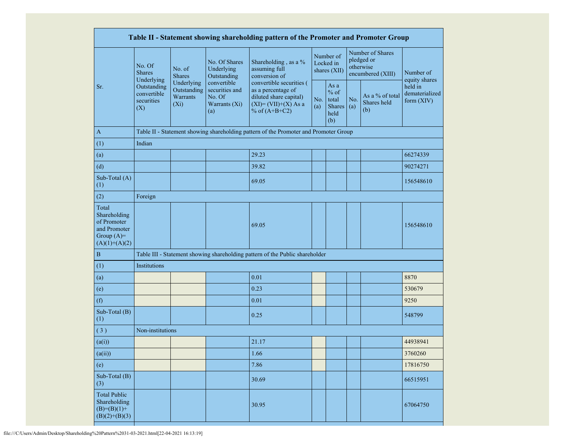|                                                                                         |                                                 |                                                         |                                                                 | Table II - Statement showing shareholding pattern of the Promoter and Promoter Group                                 |            |                                                         |            |                                                                  |                                         |
|-----------------------------------------------------------------------------------------|-------------------------------------------------|---------------------------------------------------------|-----------------------------------------------------------------|----------------------------------------------------------------------------------------------------------------------|------------|---------------------------------------------------------|------------|------------------------------------------------------------------|-----------------------------------------|
|                                                                                         | No. Of<br><b>Shares</b><br>Underlying           | No. of<br><b>Shares</b>                                 | No. Of Shares<br>Underlying<br>Outstanding                      | Shareholding, as a %<br>assuming full<br>conversion of                                                               |            | Number of<br>Locked in<br>shares (XII)                  |            | Number of Shares<br>pledged or<br>otherwise<br>encumbered (XIII) | Number of<br>equity shares              |
| Sr.                                                                                     | Outstanding<br>convertible<br>securities<br>(X) | Underlying<br>Outstanding<br><b>Warrants</b><br>$(X_i)$ | convertible<br>securities and<br>No. Of<br>Warrants (Xi)<br>(a) | convertible securities (<br>as a percentage of<br>diluted share capital)<br>$(XI)=(VII)+(X) As a$<br>% of $(A+B+C2)$ | No.<br>(a) | As a<br>$%$ of<br>total<br><b>Shares</b><br>held<br>(b) | No.<br>(a) | As a % of total<br>Shares held<br>(b)                            | held in<br>dematerialized<br>form (XIV) |
| $\mathbf{A}$                                                                            |                                                 |                                                         |                                                                 | Table II - Statement showing shareholding pattern of the Promoter and Promoter Group                                 |            |                                                         |            |                                                                  |                                         |
| (1)                                                                                     | Indian                                          |                                                         |                                                                 |                                                                                                                      |            |                                                         |            |                                                                  |                                         |
| (a)                                                                                     |                                                 |                                                         |                                                                 | 29.23                                                                                                                |            |                                                         |            |                                                                  | 66274339                                |
| (d)                                                                                     |                                                 |                                                         |                                                                 | 39.82                                                                                                                |            |                                                         |            |                                                                  | 90274271                                |
| Sub-Total (A)<br>(1)                                                                    |                                                 |                                                         |                                                                 | 69.05                                                                                                                |            |                                                         |            |                                                                  | 156548610                               |
| (2)                                                                                     | Foreign                                         |                                                         |                                                                 |                                                                                                                      |            |                                                         |            |                                                                  |                                         |
| Total<br>Shareholding<br>of Promoter<br>and Promoter<br>Group $(A)=$<br>$(A)(1)+(A)(2)$ |                                                 |                                                         |                                                                 | 69.05                                                                                                                |            |                                                         |            |                                                                  | 156548610                               |
| $\, {\bf B}$                                                                            |                                                 |                                                         |                                                                 | Table III - Statement showing shareholding pattern of the Public shareholder                                         |            |                                                         |            |                                                                  |                                         |
| (1)                                                                                     | Institutions                                    |                                                         |                                                                 |                                                                                                                      |            |                                                         |            |                                                                  |                                         |
| (a)                                                                                     |                                                 |                                                         |                                                                 | 0.01                                                                                                                 |            |                                                         |            |                                                                  | 8870                                    |
| (e)                                                                                     |                                                 |                                                         |                                                                 | 0.23                                                                                                                 |            |                                                         |            |                                                                  | 530679                                  |
| (f)                                                                                     |                                                 |                                                         |                                                                 | 0.01                                                                                                                 |            |                                                         |            |                                                                  | 9250                                    |
| Sub-Total (B)<br>(1)                                                                    |                                                 |                                                         |                                                                 | 0.25                                                                                                                 |            |                                                         |            |                                                                  | 548799                                  |
| (3)                                                                                     | Non-institutions                                |                                                         |                                                                 |                                                                                                                      |            |                                                         |            |                                                                  |                                         |
| (a(i))                                                                                  |                                                 |                                                         |                                                                 | 21.17                                                                                                                |            |                                                         |            |                                                                  | 44938941                                |
| (a(ii))                                                                                 |                                                 |                                                         |                                                                 | 1.66                                                                                                                 |            |                                                         |            |                                                                  | 3760260                                 |
| (e)                                                                                     |                                                 |                                                         |                                                                 | 7.86                                                                                                                 |            |                                                         |            |                                                                  | 17816750                                |
| Sub-Total (B)<br>(3)                                                                    |                                                 |                                                         |                                                                 | 30.69                                                                                                                |            |                                                         |            |                                                                  | 66515951                                |
| <b>Total Public</b><br>Shareholding<br>$(B)= (B)(1) +$<br>$(B)(2)+(B)(3)$               |                                                 |                                                         |                                                                 | 30.95                                                                                                                |            |                                                         |            |                                                                  | 67064750                                |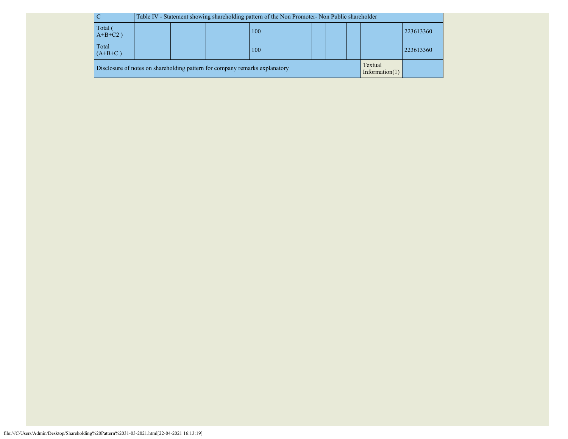| $\overline{C}$                                                                                              |                  | Table IV - Statement showing shareholding pattern of the Non Promoter- Non Public shareholder |  |  |  |  |  |  |  |  |
|-------------------------------------------------------------------------------------------------------------|------------------|-----------------------------------------------------------------------------------------------|--|--|--|--|--|--|--|--|
| Total<br>$A+B+C2$ )                                                                                         |                  | 223613360<br>100                                                                              |  |  |  |  |  |  |  |  |
| Total<br>$(A+B+C)$                                                                                          | 223613360<br>100 |                                                                                               |  |  |  |  |  |  |  |  |
| Textual<br>Disclosure of notes on shareholding pattern for company remarks explanatory<br>Information $(1)$ |                  |                                                                                               |  |  |  |  |  |  |  |  |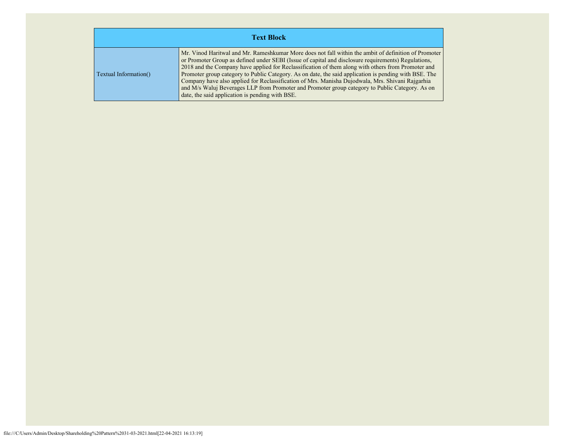| <b>Text Block</b>     |                                                                                                                                                                                                                                                                                                                                                                                                                                                                                                                                                                                                                                                                                      |  |  |  |  |  |  |  |
|-----------------------|--------------------------------------------------------------------------------------------------------------------------------------------------------------------------------------------------------------------------------------------------------------------------------------------------------------------------------------------------------------------------------------------------------------------------------------------------------------------------------------------------------------------------------------------------------------------------------------------------------------------------------------------------------------------------------------|--|--|--|--|--|--|--|
| Textual Information() | Mr. Vinod Haritwal and Mr. Rameshkumar More does not fall within the ambit of definition of Promoter<br>or Promoter Group as defined under SEBI (Issue of capital and disclosure requirements) Regulations,<br>2018 and the Company have applied for Reclassification of them along with others from Promoter and<br>Promoter group category to Public Category. As on date, the said application is pending with BSE. The<br>Company have also applied for Reclassification of Mrs. Manisha Dujodwala, Mrs. Shivani Rajgarhia<br>and M/s Waluj Beverages LLP from Promoter and Promoter group category to Public Category. As on<br>date, the said application is pending with BSE. |  |  |  |  |  |  |  |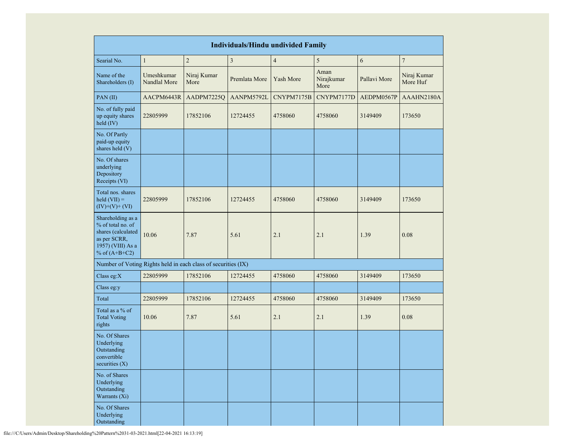| <b>Individuals/Hindu undivided Family</b>                                                                            |                            |                     |               |                |                            |              |                         |  |  |
|----------------------------------------------------------------------------------------------------------------------|----------------------------|---------------------|---------------|----------------|----------------------------|--------------|-------------------------|--|--|
| Searial No.                                                                                                          | $\mathbf{1}$               | $\overline{c}$      | $\mathfrak z$ | $\overline{4}$ | 5                          | 6            | $\boldsymbol{7}$        |  |  |
| Name of the<br>Shareholders (I)                                                                                      | Umeshkumar<br>Nandlal More | Niraj Kumar<br>More | Premlata More | Yash More      | Aman<br>Nirajkumar<br>More | Pallavi More | Niraj Kumar<br>More Huf |  |  |
| PAN(II)                                                                                                              | AACPM6443R                 | AADPM7225Q          | AANPM5792L    | CNYPM7175B     | CNYPM7177D                 | AEDPM0567P   | AAAHN2180A              |  |  |
| No. of fully paid<br>up equity shares<br>held (IV)                                                                   | 22805999                   | 17852106            | 12724455      | 4758060        | 4758060                    | 3149409      | 173650                  |  |  |
| No. Of Partly<br>paid-up equity<br>shares held (V)                                                                   |                            |                     |               |                |                            |              |                         |  |  |
| No. Of shares<br>underlying<br>Depository<br>Receipts (VI)                                                           |                            |                     |               |                |                            |              |                         |  |  |
| Total nos. shares<br>held $(VII) =$<br>$(IV)+(V)+(VI)$                                                               | 22805999                   | 17852106            | 12724455      | 4758060        | 4758060                    | 3149409      | 173650                  |  |  |
| Shareholding as a<br>% of total no. of<br>shares (calculated<br>as per SCRR,<br>1957) (VIII) As a<br>% of $(A+B+C2)$ | 10.06                      | 7.87                | 5.61          | 2.1            | 2.1                        | 1.39         | 0.08                    |  |  |
| Number of Voting Rights held in each class of securities (IX)                                                        |                            |                     |               |                |                            |              |                         |  |  |
| Class eg: $X$                                                                                                        | 22805999                   | 17852106            | 12724455      | 4758060        | 4758060                    | 3149409      | 173650                  |  |  |
| Class eg:y                                                                                                           |                            |                     |               |                |                            |              |                         |  |  |
| Total                                                                                                                | 22805999                   | 17852106            | 12724455      | 4758060        | 4758060                    | 3149409      | 173650                  |  |  |
| Total as a % of<br><b>Total Voting</b><br>rights                                                                     | 10.06                      | 7.87                | 5.61          | 2.1            | 2.1                        | 1.39         | 0.08                    |  |  |
| No. Of Shares<br>Underlying<br>Outstanding<br>convertible<br>securities (X)                                          |                            |                     |               |                |                            |              |                         |  |  |
| No. of Shares<br>Underlying<br>Outstanding<br>Warrants (Xi)                                                          |                            |                     |               |                |                            |              |                         |  |  |
| No. Of Shares<br>Underlying<br>Outstanding                                                                           |                            |                     |               |                |                            |              |                         |  |  |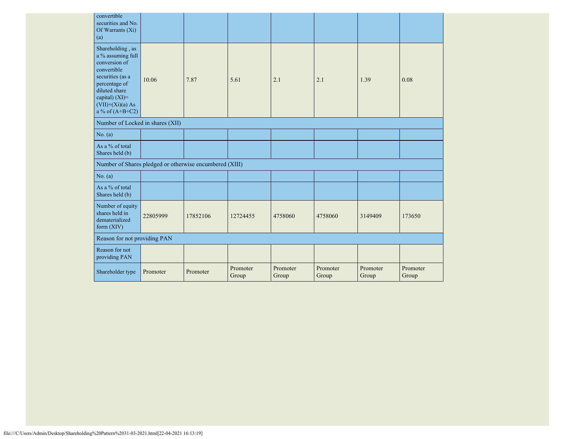| convertible<br>securities and No.<br>Of Warrants $(X_i)$<br>(a)                                                                                                                               |          |          |                   |                   |                   |                   |                   |
|-----------------------------------------------------------------------------------------------------------------------------------------------------------------------------------------------|----------|----------|-------------------|-------------------|-------------------|-------------------|-------------------|
| Shareholding, as<br>a $\%$ assuming full<br>conversion of<br>convertible<br>securities (as a<br>percentage of<br>diluted share<br>capital) $(XI)=$<br>$(VII)+(Xi)(a)$ As<br>a % of $(A+B+C2)$ | 10.06    | 7.87     | 5.61              | 2.1               | 2.1               | 1.39              | 0.08              |
| Number of Locked in shares (XII)                                                                                                                                                              |          |          |                   |                   |                   |                   |                   |
| No. (a)                                                                                                                                                                                       |          |          |                   |                   |                   |                   |                   |
| As a % of total<br>Shares held (b)                                                                                                                                                            |          |          |                   |                   |                   |                   |                   |
| Number of Shares pledged or otherwise encumbered (XIII)                                                                                                                                       |          |          |                   |                   |                   |                   |                   |
| No. (a)                                                                                                                                                                                       |          |          |                   |                   |                   |                   |                   |
| As a % of total<br>Shares held (b)                                                                                                                                                            |          |          |                   |                   |                   |                   |                   |
| Number of equity<br>shares held in<br>dematerialized<br>form (XIV)                                                                                                                            | 22805999 | 17852106 | 12724455          | 4758060           | 4758060           | 3149409           | 173650            |
| Reason for not providing PAN                                                                                                                                                                  |          |          |                   |                   |                   |                   |                   |
| Reason for not<br>providing PAN                                                                                                                                                               |          |          |                   |                   |                   |                   |                   |
| Shareholder type                                                                                                                                                                              | Promoter | Promoter | Promoter<br>Group | Promoter<br>Group | Promoter<br>Group | Promoter<br>Group | Promoter<br>Group |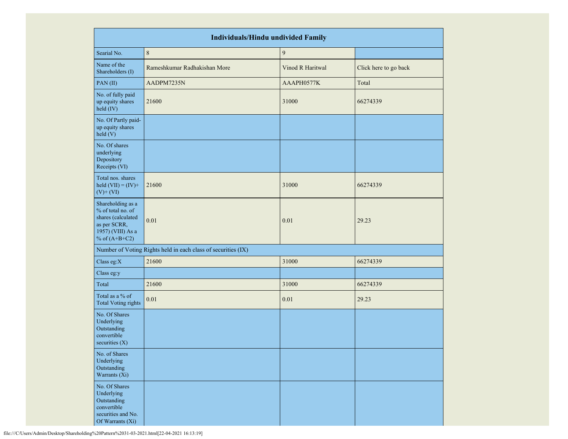|                                                                                                                      | <b>Individuals/Hindu undivided Family</b>                     |                  |                       |  |  |  |  |  |  |  |
|----------------------------------------------------------------------------------------------------------------------|---------------------------------------------------------------|------------------|-----------------------|--|--|--|--|--|--|--|
| Searial No.                                                                                                          | $\,8\,$                                                       | $\overline{9}$   |                       |  |  |  |  |  |  |  |
| Name of the<br>Shareholders (I)                                                                                      | Rameshkumar Radhakishan More                                  | Vinod R Haritwal | Click here to go back |  |  |  |  |  |  |  |
| PAN (II)                                                                                                             | AADPM7235N                                                    | AAAPH0577K       | Total                 |  |  |  |  |  |  |  |
| No. of fully paid<br>up equity shares<br>held (IV)                                                                   | 21600                                                         | 31000            | 66274339              |  |  |  |  |  |  |  |
| No. Of Partly paid-<br>up equity shares<br>held (V)                                                                  |                                                               |                  |                       |  |  |  |  |  |  |  |
| No. Of shares<br>underlying<br>Depository<br>Receipts (VI)                                                           |                                                               |                  |                       |  |  |  |  |  |  |  |
| Total nos. shares<br>held $(VII) = (IV) +$<br>$(V)$ + $(VI)$                                                         | 21600                                                         | 31000            | 66274339              |  |  |  |  |  |  |  |
| Shareholding as a<br>% of total no. of<br>shares (calculated<br>as per SCRR,<br>1957) (VIII) As a<br>% of $(A+B+C2)$ | 0.01                                                          | 0.01             | 29.23                 |  |  |  |  |  |  |  |
|                                                                                                                      | Number of Voting Rights held in each class of securities (IX) |                  |                       |  |  |  |  |  |  |  |
| Class eg:X                                                                                                           | 21600                                                         | 31000            | 66274339              |  |  |  |  |  |  |  |
| Class eg:y                                                                                                           |                                                               |                  |                       |  |  |  |  |  |  |  |
| Total                                                                                                                | 21600                                                         | 31000            | 66274339              |  |  |  |  |  |  |  |
| Total as a % of<br><b>Total Voting rights</b>                                                                        | 0.01                                                          | 0.01             | 29.23                 |  |  |  |  |  |  |  |
| No. Of Shares<br>Underlying<br>Outstanding<br>convertible<br>securities $(X)$                                        |                                                               |                  |                       |  |  |  |  |  |  |  |
| No. of Shares<br>Underlying<br>Outstanding<br>Warrants (Xi)                                                          |                                                               |                  |                       |  |  |  |  |  |  |  |
| No. Of Shares<br>Underlying<br>Outstanding<br>convertible<br>securities and No.<br>Of Warrants (Xi)                  |                                                               |                  |                       |  |  |  |  |  |  |  |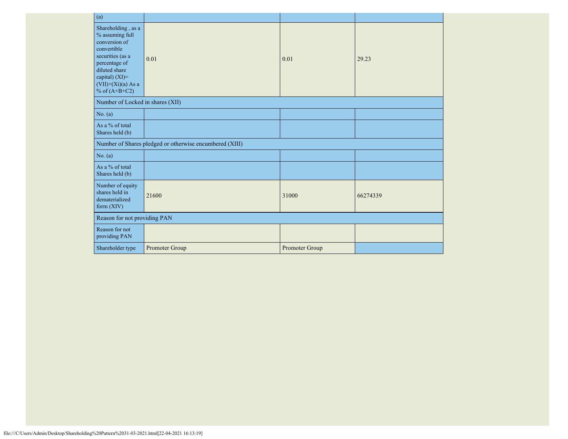| (a)                                                                                                                                                                                      |                                                         |                |          |  |  |
|------------------------------------------------------------------------------------------------------------------------------------------------------------------------------------------|---------------------------------------------------------|----------------|----------|--|--|
| Shareholding, as a<br>% assuming full<br>conversion of<br>convertible<br>securities (as a<br>percentage of<br>diluted share<br>capital) (XI)=<br>$(VII)+(Xi)(a)$ As a<br>% of $(A+B+C2)$ | 0.01                                                    | 0.01           | 29.23    |  |  |
| Number of Locked in shares (XII)                                                                                                                                                         |                                                         |                |          |  |  |
| No. (a)                                                                                                                                                                                  |                                                         |                |          |  |  |
| As a % of total<br>Shares held (b)                                                                                                                                                       |                                                         |                |          |  |  |
|                                                                                                                                                                                          | Number of Shares pledged or otherwise encumbered (XIII) |                |          |  |  |
| No. (a)                                                                                                                                                                                  |                                                         |                |          |  |  |
| As a % of total<br>Shares held (b)                                                                                                                                                       |                                                         |                |          |  |  |
| Number of equity<br>shares held in<br>dematerialized<br>form $(XIV)$                                                                                                                     | 21600                                                   | 31000          | 66274339 |  |  |
| Reason for not providing PAN                                                                                                                                                             |                                                         |                |          |  |  |
| Reason for not<br>providing PAN                                                                                                                                                          |                                                         |                |          |  |  |
| Shareholder type                                                                                                                                                                         | Promoter Group                                          | Promoter Group |          |  |  |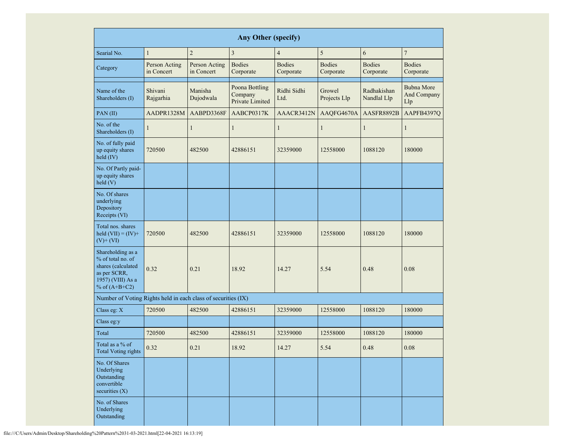|                                                                               | <b>Any Other (specify)</b>                                                                                                                                                          |                             |                                              |                                                          |                                                      |                            |                                         |  |  |  |  |  |  |
|-------------------------------------------------------------------------------|-------------------------------------------------------------------------------------------------------------------------------------------------------------------------------------|-----------------------------|----------------------------------------------|----------------------------------------------------------|------------------------------------------------------|----------------------------|-----------------------------------------|--|--|--|--|--|--|
| Searial No.                                                                   | $\mathbf{1}$                                                                                                                                                                        | $\overline{2}$              | $\mathfrak{Z}$                               | $\overline{4}$                                           | 5                                                    | 6                          | $\boldsymbol{7}$                        |  |  |  |  |  |  |
| Category                                                                      | Person Acting<br>in Concert                                                                                                                                                         | Person Acting<br>in Concert | <b>Bodies</b><br>Corporate                   | <b>Bodies</b><br><b>Bodies</b><br>Corporate<br>Corporate |                                                      | <b>Bodies</b><br>Corporate | <b>Bodies</b><br>Corporate              |  |  |  |  |  |  |
| Name of the<br>Shareholders (I)                                               | Shivani<br>Manisha<br>Rajgarhia<br>Dujodwala                                                                                                                                        |                             | Poona Bottling<br>Company<br>Private Limited | Ridhi Sidhi<br>Ltd.                                      | Growel<br>Radhakishan<br>Nandlal Llp<br>Projects Llp |                            | <b>Bubna More</b><br>And Company<br>Llp |  |  |  |  |  |  |
| PAN(II)                                                                       | AADPR1328M                                                                                                                                                                          | AABPD3368F                  | AABCP0317K                                   | AAACR3412N                                               | AAQFG4670A                                           | AASFR8892B                 | AAPFB4397Q                              |  |  |  |  |  |  |
| No. of the<br>Shareholders (I)                                                | $\mathbf{1}$                                                                                                                                                                        | $\mathbf{1}$                | $\mathbf{1}$                                 | $\mathbf{1}$                                             | $\mathbf{1}$                                         | 1                          | 1                                       |  |  |  |  |  |  |
| No. of fully paid<br>up equity shares<br>held (IV)                            | 720500                                                                                                                                                                              | 482500                      | 42886151                                     | 32359000                                                 | 12558000                                             | 1088120                    | 180000                                  |  |  |  |  |  |  |
| No. Of Partly paid-<br>up equity shares<br>held(V)                            |                                                                                                                                                                                     |                             |                                              |                                                          |                                                      |                            |                                         |  |  |  |  |  |  |
| No. Of shares<br>underlying<br>Depository<br>Receipts (VI)                    | Total nos. shares<br>held $(VII) = (IV) +$<br>720500<br>$(V)$ + $(VI)$<br>Shareholding as a<br>% of total no. of<br>shares (calculated<br>0.32<br>as per SCRR,<br>1957) (VIII) As a |                             |                                              |                                                          |                                                      |                            |                                         |  |  |  |  |  |  |
|                                                                               |                                                                                                                                                                                     |                             | 42886151                                     | 32359000                                                 | 12558000                                             | 1088120                    | 180000                                  |  |  |  |  |  |  |
| % of $(A+B+C2)$                                                               |                                                                                                                                                                                     |                             | 18.92                                        | 14.27                                                    | 5.54                                                 | 0.48                       | 0.08                                    |  |  |  |  |  |  |
| Number of Voting Rights held in each class of securities (IX)                 |                                                                                                                                                                                     |                             |                                              |                                                          |                                                      |                            |                                         |  |  |  |  |  |  |
| Class eg: X                                                                   | 720500                                                                                                                                                                              | 482500                      | 42886151                                     | 32359000                                                 | 12558000                                             | 1088120                    | 180000                                  |  |  |  |  |  |  |
| Class eg:y                                                                    |                                                                                                                                                                                     |                             |                                              |                                                          |                                                      |                            |                                         |  |  |  |  |  |  |
| Total                                                                         | 720500                                                                                                                                                                              | 482500                      | 42886151                                     | 32359000                                                 | 12558000                                             | 1088120                    | 180000                                  |  |  |  |  |  |  |
| Total as a % of<br><b>Total Voting rights</b>                                 | 0.32                                                                                                                                                                                | 0.21                        | 18.92                                        | 14.27                                                    | 5.54                                                 | 0.48                       | $0.08\,$                                |  |  |  |  |  |  |
| No. Of Shares<br>Underlying<br>Outstanding<br>convertible<br>securities $(X)$ |                                                                                                                                                                                     |                             |                                              |                                                          |                                                      |                            |                                         |  |  |  |  |  |  |
| No. of Shares<br>Underlying<br>Outstanding                                    |                                                                                                                                                                                     |                             |                                              |                                                          |                                                      |                            |                                         |  |  |  |  |  |  |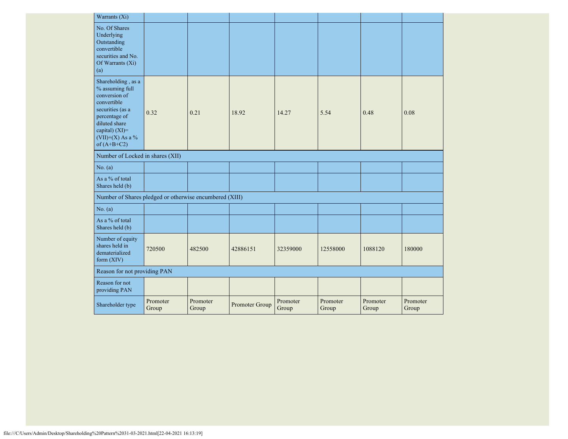| Warrants (Xi)                                                                                                                                                                        |                   |                   |                |                   |                   |                   |                   |
|--------------------------------------------------------------------------------------------------------------------------------------------------------------------------------------|-------------------|-------------------|----------------|-------------------|-------------------|-------------------|-------------------|
| No. Of Shares<br>Underlying<br>Outstanding<br>convertible<br>securities and No.<br>Of Warrants (Xi)<br>(a)                                                                           |                   |                   |                |                   |                   |                   |                   |
| Shareholding, as a<br>% assuming full<br>conversion of<br>convertible<br>securities (as a<br>percentage of<br>diluted share<br>capital) (XI)=<br>$(VII)+(X)$ As a %<br>of $(A+B+C2)$ | 0.32              | 0.21              | 18.92          | 14.27             | 5.54              | 0.48              | 0.08              |
| Number of Locked in shares (XII)                                                                                                                                                     |                   |                   |                |                   |                   |                   |                   |
| No. (a)                                                                                                                                                                              |                   |                   |                |                   |                   |                   |                   |
| As a % of total<br>Shares held (b)                                                                                                                                                   |                   |                   |                |                   |                   |                   |                   |
| Number of Shares pledged or otherwise encumbered (XIII)                                                                                                                              |                   |                   |                |                   |                   |                   |                   |
| No. $(a)$                                                                                                                                                                            |                   |                   |                |                   |                   |                   |                   |
| As a % of total<br>Shares held (b)                                                                                                                                                   |                   |                   |                |                   |                   |                   |                   |
| Number of equity<br>shares held in<br>dematerialized<br>form $(XIV)$                                                                                                                 | 720500            | 482500            | 42886151       | 32359000          | 12558000          | 1088120           | 180000            |
| Reason for not providing PAN                                                                                                                                                         |                   |                   |                |                   |                   |                   |                   |
| Reason for not<br>providing PAN                                                                                                                                                      |                   |                   |                |                   |                   |                   |                   |
| Shareholder type                                                                                                                                                                     | Promoter<br>Group | Promoter<br>Group | Promoter Group | Promoter<br>Group | Promoter<br>Group | Promoter<br>Group | Promoter<br>Group |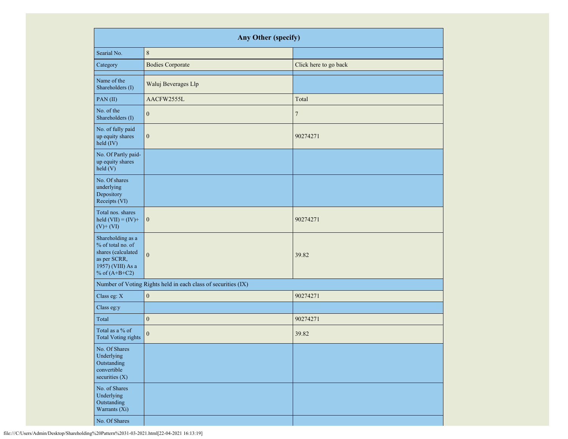|                                                                                                                      | Any Other (specify)                                           |                       |
|----------------------------------------------------------------------------------------------------------------------|---------------------------------------------------------------|-----------------------|
| Searial No.                                                                                                          | $\,8\,$                                                       |                       |
| Category                                                                                                             | <b>Bodies Corporate</b>                                       | Click here to go back |
| Name of the<br>Shareholders (I)                                                                                      | Waluj Beverages Llp                                           |                       |
| PAN(II)                                                                                                              | AACFW2555L                                                    | Total                 |
| No. of the<br>Shareholders (I)                                                                                       | $\mathbf{0}$                                                  | $\tau$                |
| No. of fully paid<br>up equity shares<br>held (IV)                                                                   | $\boldsymbol{0}$                                              | 90274271              |
| No. Of Partly paid-<br>up equity shares<br>held (V)                                                                  |                                                               |                       |
| No. Of shares<br>underlying<br>Depository<br>Receipts (VI)                                                           |                                                               |                       |
| Total nos. shares<br>held $(VII) = (IV) +$<br>$(V)$ + $(VI)$                                                         | $\boldsymbol{0}$                                              | 90274271              |
| Shareholding as a<br>% of total no. of<br>shares (calculated<br>as per SCRR,<br>1957) (VIII) As a<br>% of $(A+B+C2)$ | $\mathbf{0}$                                                  | 39.82                 |
|                                                                                                                      | Number of Voting Rights held in each class of securities (IX) |                       |
| Class eg: X                                                                                                          | $\boldsymbol{0}$                                              | 90274271              |
| Class eg:y                                                                                                           |                                                               |                       |
| Total                                                                                                                | $\boldsymbol{0}$                                              | 90274271              |
| Total as a % of<br><b>Total Voting rights</b>                                                                        | $\boldsymbol{0}$                                              | 39.82                 |
| No. Of Shares<br>Underlying<br>Outstanding<br>convertible<br>securities $(X)$                                        |                                                               |                       |
| No. of Shares<br>Underlying<br>Outstanding<br>Warrants (Xi)                                                          |                                                               |                       |
| No. Of Shares                                                                                                        |                                                               |                       |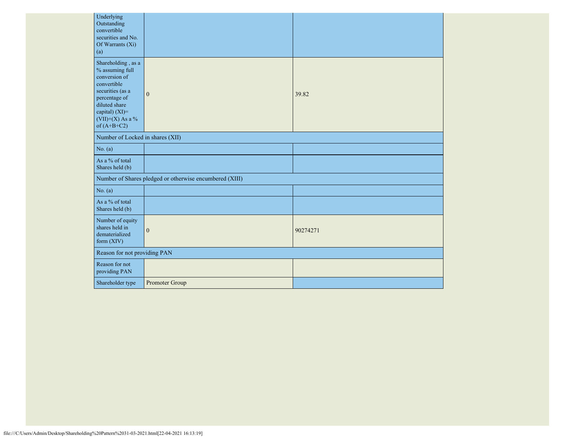| Underlying<br>Outstanding<br>convertible<br>securities and No.<br>Of Warrants (Xi)<br>(a)                                                                                            |                                                         |          |
|--------------------------------------------------------------------------------------------------------------------------------------------------------------------------------------|---------------------------------------------------------|----------|
| Shareholding, as a<br>% assuming full<br>conversion of<br>convertible<br>securities (as a<br>percentage of<br>diluted share<br>capital) (XI)=<br>$(VII)+(X)$ As a %<br>of $(A+B+C2)$ | $\mathbf{0}$                                            | 39.82    |
| Number of Locked in shares (XII)                                                                                                                                                     |                                                         |          |
| No. (a)                                                                                                                                                                              |                                                         |          |
| As a % of total<br>Shares held (b)                                                                                                                                                   |                                                         |          |
|                                                                                                                                                                                      | Number of Shares pledged or otherwise encumbered (XIII) |          |
| No. (a)                                                                                                                                                                              |                                                         |          |
| As a % of total<br>Shares held (b)                                                                                                                                                   |                                                         |          |
| Number of equity<br>shares held in<br>dematerialized<br>form (XIV)                                                                                                                   | $\mathbf{0}$                                            | 90274271 |
| Reason for not providing PAN                                                                                                                                                         |                                                         |          |
| Reason for not<br>providing PAN                                                                                                                                                      |                                                         |          |
| Shareholder type                                                                                                                                                                     | Promoter Group                                          |          |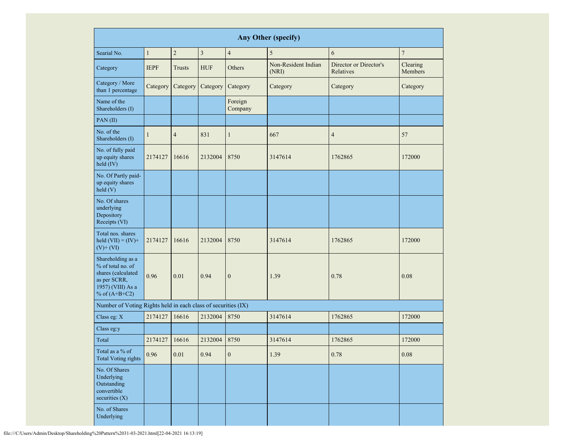|                                                                                                                      | <b>Any Other (specify)</b>                       |                |            |                    |                              |                                     |                     |  |  |  |  |  |
|----------------------------------------------------------------------------------------------------------------------|--------------------------------------------------|----------------|------------|--------------------|------------------------------|-------------------------------------|---------------------|--|--|--|--|--|
| Searial No.                                                                                                          | $\mathbf{1}$<br>$\overline{2}$<br>$\overline{3}$ |                |            | $\overline{4}$     | 5                            | 6                                   | $\boldsymbol{7}$    |  |  |  |  |  |
| Category                                                                                                             | <b>IEPF</b>                                      | <b>Trusts</b>  | <b>HUF</b> | Others             | Non-Resident Indian<br>(NRI) | Director or Director's<br>Relatives | Clearing<br>Members |  |  |  |  |  |
| Category / More<br>than 1 percentage                                                                                 | Category                                         | Category       | Category   | Category           | Category                     | Category                            | Category            |  |  |  |  |  |
| Name of the<br>Shareholders (I)                                                                                      |                                                  |                |            | Foreign<br>Company |                              |                                     |                     |  |  |  |  |  |
| PAN (II)                                                                                                             |                                                  |                |            |                    |                              |                                     |                     |  |  |  |  |  |
| No. of the<br>Shareholders (I)                                                                                       | $\mathbf{1}$                                     | $\overline{4}$ | 831        | $\mathbf{1}$       | 667                          | $\overline{4}$                      | 57                  |  |  |  |  |  |
| No. of fully paid<br>up equity shares<br>held (IV)                                                                   | 2174127                                          | 16616          | 2132004    | 8750               | 3147614                      | 1762865                             | 172000              |  |  |  |  |  |
| No. Of Partly paid-<br>up equity shares<br>held(V)                                                                   |                                                  |                |            |                    |                              |                                     |                     |  |  |  |  |  |
| No. Of shares<br>underlying<br>Depository<br>Receipts (VI)                                                           |                                                  |                |            |                    |                              |                                     |                     |  |  |  |  |  |
| Total nos. shares<br>held $(VII) = (IV) +$<br>$(V)$ + $(VI)$                                                         | 2174127                                          | 16616          | 2132004    | 8750               | 3147614                      | 1762865                             | 172000              |  |  |  |  |  |
| Shareholding as a<br>% of total no. of<br>shares (calculated<br>as per SCRR,<br>1957) (VIII) As a<br>% of $(A+B+C2)$ | 0.96<br>0.01<br>0.94<br>$\boldsymbol{0}$         |                |            | 1.39               | 0.78                         | 0.08                                |                     |  |  |  |  |  |
| Number of Voting Rights held in each class of securities (IX)                                                        |                                                  |                |            |                    |                              |                                     |                     |  |  |  |  |  |
| Class eg: X                                                                                                          | 2174127                                          | 16616          | 2132004    | 8750               | 3147614                      | 1762865                             | 172000              |  |  |  |  |  |
| Class eg:y                                                                                                           |                                                  |                |            |                    |                              |                                     |                     |  |  |  |  |  |
| Total                                                                                                                | 2174127                                          | 16616          | 2132004    | 8750               | 3147614                      | 1762865                             | 172000              |  |  |  |  |  |
| Total as a $\%$ of<br><b>Total Voting rights</b>                                                                     | 0.96                                             | $0.01\,$       | 0.94       | $\boldsymbol{0}$   | 1.39                         | 0.78                                | 0.08                |  |  |  |  |  |
| No. Of Shares<br>Underlying<br>Outstanding<br>convertible<br>securities (X)                                          |                                                  |                |            |                    |                              |                                     |                     |  |  |  |  |  |
| No. of Shares<br>Underlying                                                                                          |                                                  |                |            |                    |                              |                                     |                     |  |  |  |  |  |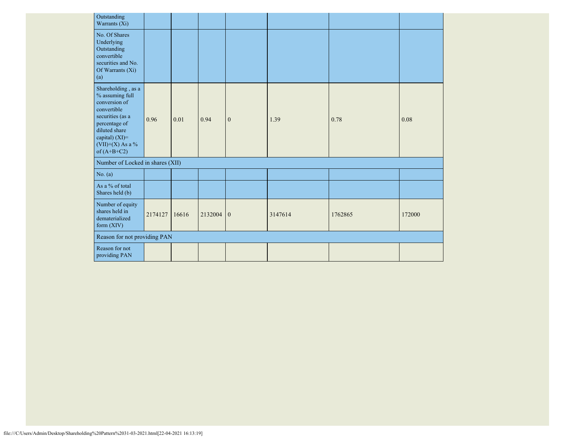| Outstanding<br>Warrants (Xi)                                                                                                                                                       |         |       |             |              |         |         |        |
|------------------------------------------------------------------------------------------------------------------------------------------------------------------------------------|---------|-------|-------------|--------------|---------|---------|--------|
| No. Of Shares<br>Underlying<br>Outstanding<br>convertible<br>securities and No.<br>Of Warrants (Xi)<br>(a)                                                                         |         |       |             |              |         |         |        |
| Shareholding, as a<br>% assuming full<br>conversion of<br>convertible<br>securities (as a<br>percentage of<br>diluted share<br>capital) (XI)=<br>(VII)+(X) As a %<br>of $(A+B+C2)$ | 0.96    | 0.01  | 0.94        | $\mathbf{0}$ | 1.39    | 0.78    | 0.08   |
| Number of Locked in shares (XII)                                                                                                                                                   |         |       |             |              |         |         |        |
| No. (a)                                                                                                                                                                            |         |       |             |              |         |         |        |
| As a % of total<br>Shares held (b)                                                                                                                                                 |         |       |             |              |         |         |        |
| Number of equity<br>shares held in<br>dematerialized<br>form $(XIV)$                                                                                                               | 2174127 | 16616 | $2132004$ 0 |              | 3147614 | 1762865 | 172000 |
| Reason for not providing PAN                                                                                                                                                       |         |       |             |              |         |         |        |
| Reason for not<br>providing PAN                                                                                                                                                    |         |       |             |              |         |         |        |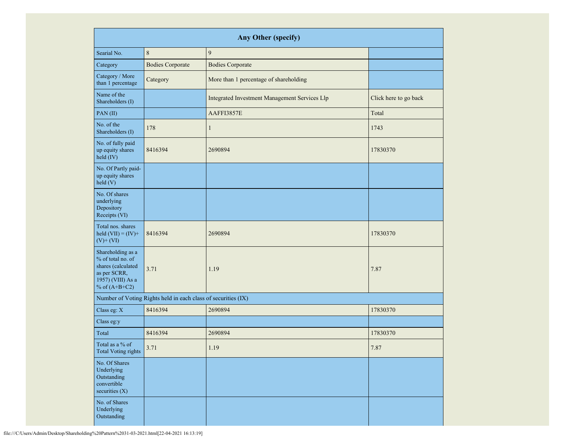|                                                                                                                      | Any Other (specify)                                           |                                               |                       |  |  |  |  |  |  |  |  |  |
|----------------------------------------------------------------------------------------------------------------------|---------------------------------------------------------------|-----------------------------------------------|-----------------------|--|--|--|--|--|--|--|--|--|
| Searial No.                                                                                                          | 8                                                             | $\overline{9}$                                |                       |  |  |  |  |  |  |  |  |  |
| Category                                                                                                             | <b>Bodies Corporate</b>                                       | <b>Bodies Corporate</b>                       |                       |  |  |  |  |  |  |  |  |  |
| Category / More<br>than 1 percentage                                                                                 | Category                                                      | More than 1 percentage of shareholding        |                       |  |  |  |  |  |  |  |  |  |
| Name of the<br>Shareholders (I)                                                                                      |                                                               | Integrated Investment Management Services Llp | Click here to go back |  |  |  |  |  |  |  |  |  |
| PAN(II)                                                                                                              |                                                               | AAFFI3857E                                    | Total                 |  |  |  |  |  |  |  |  |  |
| No. of the<br>Shareholders (I)                                                                                       | 178                                                           | $\mathbf{1}$                                  | 1743                  |  |  |  |  |  |  |  |  |  |
| No. of fully paid<br>up equity shares<br>held (IV)                                                                   | 8416394                                                       | 2690894                                       | 17830370              |  |  |  |  |  |  |  |  |  |
| No. Of Partly paid-<br>up equity shares<br>held(V)                                                                   |                                                               |                                               |                       |  |  |  |  |  |  |  |  |  |
| No. Of shares<br>underlying<br>Depository<br>Receipts (VI)                                                           |                                                               |                                               |                       |  |  |  |  |  |  |  |  |  |
| Total nos. shares<br>held $(VII) = (IV) +$<br>$(V)$ + $(VI)$                                                         | 8416394                                                       | 2690894                                       | 17830370              |  |  |  |  |  |  |  |  |  |
| Shareholding as a<br>% of total no. of<br>shares (calculated<br>as per SCRR,<br>1957) (VIII) As a<br>% of $(A+B+C2)$ | 3.71                                                          | 1.19                                          | 7.87                  |  |  |  |  |  |  |  |  |  |
|                                                                                                                      | Number of Voting Rights held in each class of securities (IX) |                                               |                       |  |  |  |  |  |  |  |  |  |
| Class eg: X                                                                                                          | 8416394                                                       | 2690894                                       | 17830370              |  |  |  |  |  |  |  |  |  |
| Class eg:y                                                                                                           |                                                               |                                               |                       |  |  |  |  |  |  |  |  |  |
| Total                                                                                                                | 8416394                                                       | 2690894                                       | 17830370              |  |  |  |  |  |  |  |  |  |
| Total as a % of<br><b>Total Voting rights</b>                                                                        | 3.71                                                          | 1.19                                          | 7.87                  |  |  |  |  |  |  |  |  |  |
| No. Of Shares<br>Underlying<br>Outstanding<br>convertible<br>securities (X)                                          |                                                               |                                               |                       |  |  |  |  |  |  |  |  |  |
| No. of Shares<br>Underlying<br>Outstanding                                                                           |                                                               |                                               |                       |  |  |  |  |  |  |  |  |  |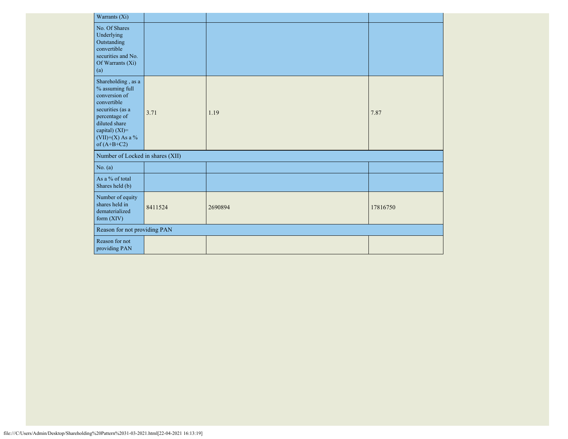| Warrants (Xi)                                                                                                                                                                             |         |         |          |
|-------------------------------------------------------------------------------------------------------------------------------------------------------------------------------------------|---------|---------|----------|
| No. Of Shares<br>Underlying<br>Outstanding<br>convertible<br>securities and No.<br>Of Warrants (Xi)<br>(a)                                                                                |         |         |          |
| Shareholding, as a<br>$\%$ assuming full<br>conversion of<br>convertible<br>securities (as a<br>percentage of<br>diluted share<br>capital) $(XI)=$<br>$(VII)+(X)$ As a %<br>of $(A+B+C2)$ | 3.71    | 1.19    | 7.87     |
| Number of Locked in shares (XII)                                                                                                                                                          |         |         |          |
| No. (a)                                                                                                                                                                                   |         |         |          |
| As a % of total<br>Shares held (b)                                                                                                                                                        |         |         |          |
| Number of equity<br>shares held in<br>dematerialized<br>form $(XIV)$                                                                                                                      | 8411524 | 2690894 | 17816750 |
| Reason for not providing PAN                                                                                                                                                              |         |         |          |
| Reason for not<br>providing PAN                                                                                                                                                           |         |         |          |